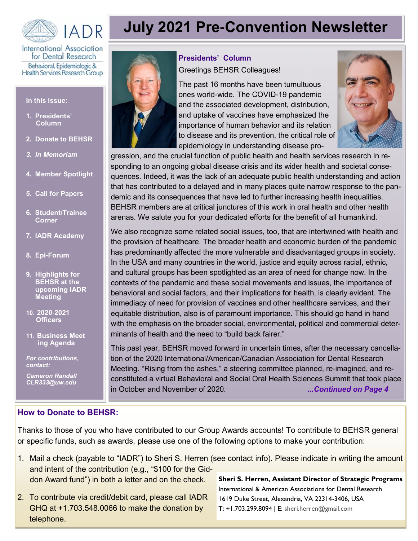

# **July 2021 Pre-Convention Newsletter**

International Association for Dental Research Behavioral, Epidemiologic & **Health Services Research Group** 

 $A \cap R$ 

### **In this Issue:**

- **1. Presidents' Column**
- **2. Donate to BEHSR**
- *3. In Memoriam*
- **4. Member Spotlight**
- **5. Call for Papers**
- **6. Student/Trainee Corner**
- **7. IADR Academy**
- **8. Epi-Forum**
- **9. Highlights for BEHSR at the upcoming IADR Meeting**
- **10. 2020-2021 Officers**
- **11. Business Meet ing Agenda**

*For contributions, contact:* 

*Cameron Randall CLR333@uw.edu*

## **How to Donate to BEHSR:**

**Presidents' Column**

Greetings BEHSR Colleagues!



The past 16 months have been tumultuous ones world-wide. The COVID-19 pandemic and the associated development, distribution, and uptake of vaccines have emphasized the importance of human behavior and its relation to disease and its prevention, the critical role of epidemiology in understanding disease pro-



gression, and the crucial function of public health and health services research in responding to an ongoing global disease crisis and its wider health and societal consequences. Indeed, it was the lack of an adequate public health understanding and action that has contributed to a delayed and in many places quite narrow response to the pandemic and its consequences that have led to further increasing health inequalities. BEHSR members are at critical junctures of this work in oral health and other health arenas. We salute you for your dedicated efforts for the benefit of all humankind.

We also recognize some related social issues, too, that are intertwined with health and the provision of healthcare. The broader health and economic burden of the pandemic has predominantly affected the more vulnerable and disadvantaged groups in society. In the USA and many countries in the world, justice and equity across racial, ethnic, and cultural groups has been spotlighted as an area of need for change now. In the contexts of the pandemic and these social movements and issues, the importance of behavioral and social factors, and their implications for health, is clearly evident. The immediacy of need for provision of vaccines and other healthcare services, and their equitable distribution, also is of paramount importance. This should go hand in hand with the emphasis on the broader social, environmental, political and commercial determinants of health and the need to "build back fairer."

This past year, BEHSR moved forward in uncertain times, after the necessary cancellation of the 2020 International/American/Canadian Association for Dental Research Meeting. "Rising from the ashes," a steering committee planned, re-imagined, and reconstituted a virtual Behavioral and Social Oral Health Sciences Summit that took place in October and November of 2020. *...Continued on Page 4*

Thanks to those of you who have contributed to our Group Awards accounts! To contribute to BEHSR general or specific funds, such as awards, please use one of the following options to make your contribution:

- 1. Mail a check (payable to "IADR") to Sheri S. Herren (see contact info). Please indicate in writing the amount and intent of the contribution (e.g., "\$100 for the Giddon Award fund") in both a letter and on the check.
- 2. To contribute via credit/debit card, please call IADR GHQ at +1.703.548.0066 to make the donation by telephone.

**Sheri S. Herren, Assistant Director of Strategic Programs** International & American Associations for Dental Research 1619 Duke Street, Alexandria, VA 22314-3406, USA T: +1.703.299.8094 | E: sheri.herren@gmail.com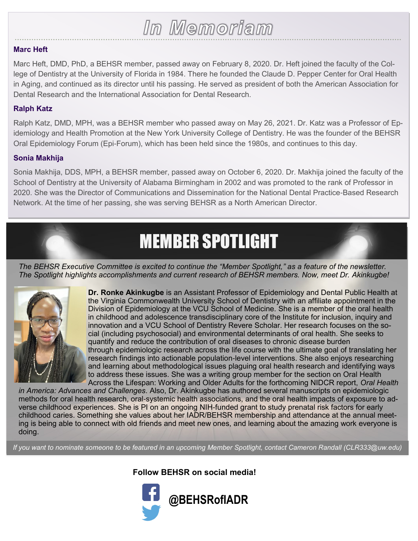# In Memoriam

## **Marc Heft**

Marc Heft, DMD, PhD, a BEHSR member, passed away on February 8, 2020. Dr. Heft joined the faculty of the College of Dentistry at the University of Florida in 1984. There he founded the Claude D. Pepper Center for Oral Health in Aging, and continued as its director until his passing. He served as president of both the American Association for Dental Research and the International Association for Dental Research.

## **Ralph Katz**

Ralph Katz, DMD, MPH, was a BEHSR member who passed away on May 26, 2021. Dr. Katz was a Professor of Epidemiology and Health Promotion at the New York University College of Dentistry. He was the founder of the BEHSR Oral Epidemiology Forum (Epi-Forum), which has been held since the 1980s, and continues to this day.

## **Sonia Makhija**

Sonia Makhija, DDS, MPH, a BEHSR member, passed away on October 6, 2020. Dr. Makhija joined the faculty of the School of Dentistry at the University of Alabama Birmingham in 2002 and was promoted to the rank of Professor in 2020. She was the Director of Communications and Dissemination for the National Dental Practice-Based Research Network. At the time of her passing, she was serving BEHSR as a North American Director.

# MEMBER SPOTLIGHT

*The BEHSR Executive Committee is excited to continue the "Member Spotlight," as a feature of the newsletter. The Spotlight highlights accomplishments and current research of BEHSR members. Now, meet Dr. Akinkugbe!*



**Dr. Ronke Akinkugbe** is an Assistant Professor of Epidemiology and Dental Public Health at the Virginia Commonwealth University School of Dentistry with an affiliate appointment in the Division of Epidemiology at the VCU School of Medicine. She is a member of the oral health in childhood and adolescence transdisciplinary core of the Institute for inclusion, inquiry and innovation and a VCU School of Dentistry Revere Scholar. Her research focuses on the social (including psychosocial) and environmental determinants of oral health. She seeks to quantify and reduce the contribution of oral diseases to chronic disease burden through epidemiologic research across the life course with the ultimate goal of translating her research findings into actionable population-level interventions. She also enjoys researching and learning about methodological issues plaguing oral health research and identifying ways to address these issues. She was a writing group member for the section on Oral Health Across the Lifespan: Working and Older Adults for the forthcoming NIDCR report, *Oral Health* 

*in America: Advances and Challenges*. Also, Dr. Akinkugbe has authored several manuscripts on epidemiologic methods for oral health research, oral-systemic health associations, and the oral health impacts of exposure to adverse childhood experiences. She is PI on an ongoing NIH-funded grant to study prenatal risk factors for early childhood caries. Something she values about her IADR/BEHSR membership and attendance at the annual meeting is being able to connect with old friends and meet new ones, and learning about the amazing work everyone is doing.

*If you want to nominate someone to be featured in an upcoming Member Spotlight, contact Cameron Randall (CLR333@uw.edu)*

**Follow BEHSR on social media!**

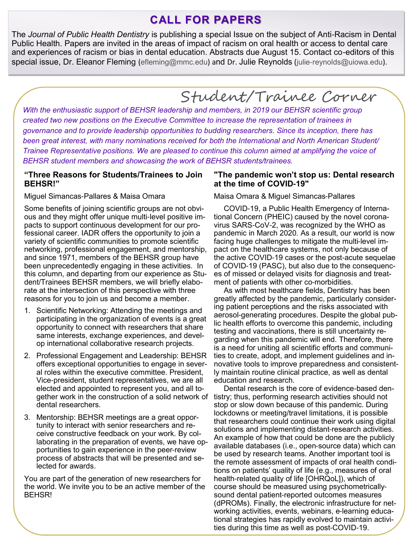## **CALL FOR PAPERS**

The *Journal of Public Health Dentistry* is publishing a special Issue on the subject of Anti-Racism in Dental Public Health. Papers are invited in the areas of impact of racism on oral health or access to dental care and experiences of racism or bias in dental education. Abstracts due August 15. Contact co-editors of this special issue, Dr. Eleanor Fleming (efleming@mmc.edu) and Dr. Julie Reynolds (julie-reynolds@uiowa.edu).

Student/Trainee Corner

*With the enthusiastic support of BEHSR leadership and members, in 2019 our BEHSR scientific group created two new positions on the Executive Committee to increase the representation of trainees in governance and to provide leadership opportunities to budding researchers. Since its inception, there has been great interest, with many nominations received for both the International and North American Student/ Trainee Representative positions. We are pleased to continue this column aimed at amplifying the voice of BEHSR student members and showcasing the work of BEHSR students/trainees.*

### **"Three Reasons for Students/Trainees to Join BEHSR!"**

### Miguel Simancas-Pallares & Maisa Omara

Some benefits of joining scientific groups are not obvious and they might offer unique multi-level positive impacts to support continuous development for our professional career. IADR offers the opportunity to join a variety of scientific communities to promote scientific networking, professional engagement, and mentorship, and since 1971, members of the BEHSR group have been unprecedentedly engaging in these activities. In this column, and departing from our experience as Student/Trainees BEHSR members, we will briefly elaborate at the intersection of this perspective with three reasons for you to join us and become a member.

- 1. Scientific Networking: Attending the meetings and participating in the organization of events is a great opportunity to connect with researchers that share same interests, exchange experiences, and develop international collaborative research projects.
- 2. Professional Engagement and Leadership: BEHSR offers exceptional opportunities to engage in several roles within the executive committee. President, Vice-president, student representatives, we are all elected and appointed to represent you, and all together work in the construction of a solid network of dental researchers.
- 3. Mentorship: BEHSR meetings are a great opportunity to interact with senior researchers and receive constructive feedback on your work. By collaborating in the preparation of events, we have opportunities to gain experience in the peer-review process of abstracts that will be presented and selected for awards.

You are part of the generation of new researchers for the world. We invite you to be an active member of the BEHSR!

## **"The pandemic won't stop us: Dental research at the time of COVID-19"**

Maisa Omara & Miguel Simancas-Pallares

COVID-19, a Public Health Emergency of International Concern (PHEIC) caused by the novel coronavirus SARS-CoV-2, was recognized by the WHO as pandemic in March 2020. As a result, our world is now facing huge challenges to mitigate the multi-level impact on the healthcare systems, not only because of the active COVID-19 cases or the post-acute sequelae of COVID-19 (PASC), but also due to the consequences of missed or delayed visits for diagnosis and treatment of patients with other co-morbidities.

As with most healthcare fields, Dentistry has been greatly affected by the pandemic, particularly considering patient perceptions and the risks associated with aerosol-generating procedures. Despite the global public health efforts to overcome this pandemic, including testing and vaccinations, there is still uncertainty regarding when this pandemic will end. Therefore, there is a need for uniting all scientific efforts and communities to create, adopt, and implement guidelines and innovative tools to improve preparedness and consistently maintain routine clinical practice, as well as dental education and research.

Dental research is the core of evidence-based dentistry; thus, performing research activities should not stop or slow down because of this pandemic. During lockdowns or meeting/travel limitations, it is possible that researchers could continue their work using digital solutions and implementing distant-research activities. An example of how that could be done are the publicly available databases (i.e., open-source data) which can be used by research teams. Another important tool is the remote assessment of impacts of oral health conditions on patients' quality of life (e.g., measures of oral health-related quality of life [OHRQoL]), which of course should be measured using psychometricallysound dental patient-reported outcomes measures (dPROMs). Finally, the electronic infrastructure for networking activities, events, webinars, e-learning educational strategies has rapidly evolved to maintain activities during this time as well as post-COVID-19.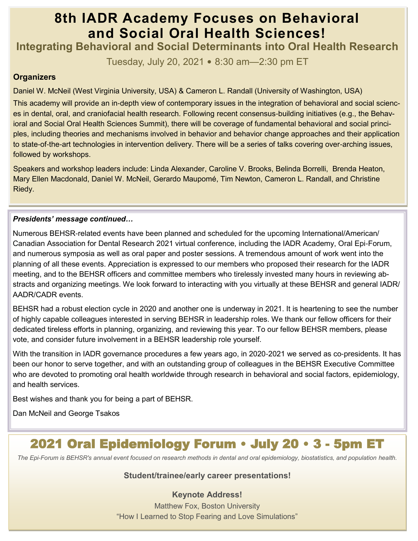## **8th IADR Academy Focuses on Behavioral and Social Oral Health Sciences!**

**Integrating Behavioral and Social Determinants into Oral Health Research** 

Tuesday, July 20, 2021 • 8:30 am—2:30 pm ET

## **Organizers**

Daniel W. McNeil (West Virginia University, USA) & Cameron L. Randall (University of Washington, USA)

This academy will provide an in-depth view of contemporary issues in the integration of behavioral and social sciences in dental, oral, and craniofacial health research. Following recent consensus-building initiatives (e.g., the Behavioral and Social Oral Health Sciences Summit), there will be coverage of fundamental behavioral and social principles, including theories and mechanisms involved in behavior and behavior change approaches and their application to state-of-the-art technologies in intervention delivery. There will be a series of talks covering over-arching issues, followed by workshops.

Speakers and workshop leaders include: Linda Alexander, Caroline V. Brooks, Belinda Borrelli, Brenda Heaton, Mary Ellen Macdonald, Daniel W. McNeil, Gerardo Maupomé, Tim Newton, Cameron L. Randall, and Christine Riedy.

## *Presidents' message continued…*

Numerous BEHSR-related events have been planned and scheduled for the upcoming International/American/ Canadian Association for Dental Research 2021 virtual conference, including the IADR Academy, Oral Epi-Forum, and numerous symposia as well as oral paper and poster sessions. A tremendous amount of work went into the planning of all these events. Appreciation is expressed to our members who proposed their research for the IADR meeting, and to the BEHSR officers and committee members who tirelessly invested many hours in reviewing abstracts and organizing meetings. We look forward to interacting with you virtually at these BEHSR and general IADR/ AADR/CADR events.

BEHSR had a robust election cycle in 2020 and another one is underway in 2021. It is heartening to see the number of highly capable colleagues interested in serving BEHSR in leadership roles. We thank our fellow officers for their dedicated tireless efforts in planning, organizing, and reviewing this year. To our fellow BEHSR members, please vote, and consider future involvement in a BEHSR leadership role yourself.

With the transition in IADR governance procedures a few years ago, in 2020-2021 we served as co-presidents. It has been our honor to serve together, and with an outstanding group of colleagues in the BEHSR Executive Committee who are devoted to promoting oral health worldwide through research in behavioral and social factors, epidemiology, and health services.

Best wishes and thank you for being a part of BEHSR.

Dan McNeil and George Tsakos

## 2021 Oral Epidemiology Forum • July 20 • 3 - 5pm ET

The Epi-Forum is BEHSR's annual event focused on research methods in dental and oral epidemiology, biostatistics, and population health.

## **Student/trainee/early career presentations!**

## **Keynote Address!**

Matthew Fox, Boston University "How I Learned to Stop Fearing and Love Simulations"